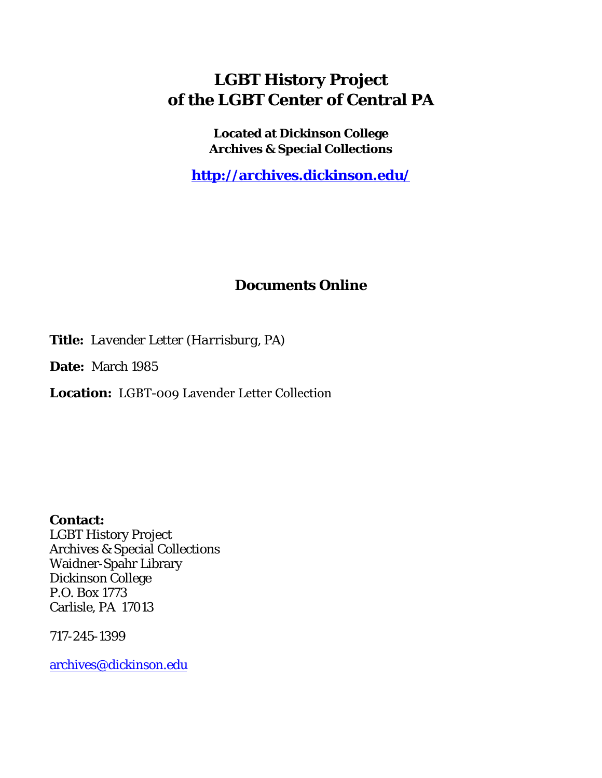## **LGBT History Project of the LGBT Center of Central PA**

**Located at Dickinson College Archives & Special Collections**

**<http://archives.dickinson.edu/>**

## **Documents Online**

**Title:** *Lavender Letter (Harrisburg, PA)*

**Date:** March 1985

**Location:** LGBT-009 Lavender Letter Collection

**Contact:**  LGBT History Project Archives & Special Collections Waidner-Spahr Library Dickinson College P.O. Box 1773 Carlisle, PA 17013

717-245-1399

[archives@dickinson.edu](mailto:archives@dickinson.edu)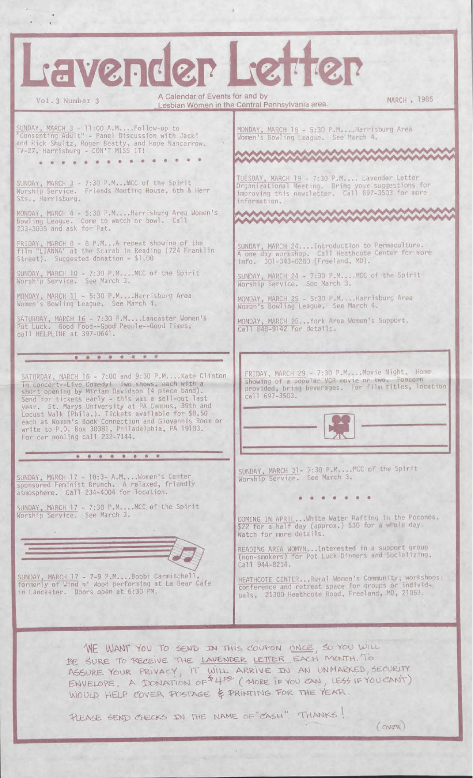| L'avender Letter                                                                                                                                                                                                                                                                                                                                                                                                                                                         |                                                                                                                                                                          |
|--------------------------------------------------------------------------------------------------------------------------------------------------------------------------------------------------------------------------------------------------------------------------------------------------------------------------------------------------------------------------------------------------------------------------------------------------------------------------|--------------------------------------------------------------------------------------------------------------------------------------------------------------------------|
| A Calendar of Events for and by<br>Vol. 3 Number 3                                                                                                                                                                                                                                                                                                                                                                                                                       | MARCH , 1985<br>Lesbian Women in the Central Pennsylvania area.                                                                                                          |
| SUNDAY, MARCH 3 - 11:00 A.MFollow-up to<br>"Consenting Adult" - Panel Discussion with Jacki<br>and Rick Shultz, Roger Beatty, and Hope Nancarrow.<br>TV-27, Harrisburg - DON'T MISS IT!                                                                                                                                                                                                                                                                                  | MONDAY, MARCH 18 - 5:30 P.MHarrisburg Area<br>Women's Bowling League. See March 4.<br><b>AAAAAAAAAAAAAAAAAAAAAAAA</b>                                                    |
|                                                                                                                                                                                                                                                                                                                                                                                                                                                                          | <b>MAANAAAAAAAAAAAAAAAAA</b>                                                                                                                                             |
| SUNDAY, MARCH 3 - 7:30 P.MMCC of the Spirit<br>Worship Service. Friends Meeting House, 6th & Herr<br>Sts., Harrisburg.                                                                                                                                                                                                                                                                                                                                                   | TUESDAY, MARCH 19 - 7:30 P.M Lavender Letter<br>Organizational Meeting. Bring your suggestions for<br>improving this newsletter. Call 697-3503 for more<br>information.  |
| MONDAY, MARCH 4 - 5:30 P.MHarrisburg Area Women's<br>Bowling League. Come to watch or bowl. Call<br>233-3035 and ask for Pat.                                                                                                                                                                                                                                                                                                                                            | AAAAAAAAAAAAAAAAAAAAAA<br><b>AAAAAAAAAAAAAAAAAA</b>                                                                                                                      |
| FRIDAY, MARCH 8 - 8 P.MA repeat showing of the<br>film "LIANNA" at the Scarab in Reading (724 Franklin<br>Street). Suggested donation - \$1.00                                                                                                                                                                                                                                                                                                                           | SUNDAY, MARCH 24Introduction to Permaculture.<br>A one day workshop. Call Heathcote Center for more<br>info. 301-343-0280 (Freeland, MD).                                |
| SUNDAY, MARCH 10 - 7:30 P.MMCC of the Spirit<br>Worship Service. See March 3.                                                                                                                                                                                                                                                                                                                                                                                            | SUNDAY, MARCH 24 - 7:30 P.MMCC of the Spirit<br>Worship Service. See March 3.                                                                                            |
| MONDAY, MARCH 11 - 5:30 P.M Harrisburg Area<br>Women's Bowling League. See March 4.                                                                                                                                                                                                                                                                                                                                                                                      | MONDAY, MARCH 25 - 5:30 P.M.  Harrisburg Area<br>Women's Bowling League, See March 4.                                                                                    |
| SATURDAY, MARCH 16 - 7:30 P.MLancaster Women's<br>Pot Luck. Good Food--Good People--Good Times,<br>call HELPLINE at 397-0641.                                                                                                                                                                                                                                                                                                                                            | MONDAY, MARCH 25 York Area Women's Support.<br>Call 848-9142 for details.                                                                                                |
| .                                                                                                                                                                                                                                                                                                                                                                                                                                                                        |                                                                                                                                                                          |
| SATURDAY, MARCH 16 - 7:00 and 9:30 P.MKate Clinton<br>in concert--Live Comedy! Two shows, each with a<br>short opening by Miriam Davidson (4 piece band).<br>Send for tickets early - this was a sell-out last<br>year. St. Marys University at PA Campus, 39th and<br>Locust Walk (Phila.). Tickets available for \$8.50<br>each at Women's Book Connection and Giovannis Room or<br>write to P.O. Box 30381, Philadelphia, PA 19103.<br>For car pooling call 232-7144. | FRIDAY, MARCH 29 - 7:30 P.MMovie Night, Home<br>showing of a popular VCR movie or two. Popcorn<br>provided, bring beverages. For film titles, location<br>call 697-3503. |
|                                                                                                                                                                                                                                                                                                                                                                                                                                                                          | SUNDAY, MARCH 31- 7:30 P.M MCC of the Spirit                                                                                                                             |
| SUNDAY, MARCH 17 - 10:3- A.MWomen's Center<br>sponsored Feminist Brunch. A relaxed, friendly<br>atmosphere. Call 234-4004 for location.                                                                                                                                                                                                                                                                                                                                  | Worship Service. See March 3.                                                                                                                                            |
| SUNDAY, MARCH 17 - 7:30 P.MMCC of the Spirit<br>Worship Service. See March 3.                                                                                                                                                                                                                                                                                                                                                                                            | COMING IN APRILWhite Water Rafting in the Poconos,<br>\$22 for a half day (approx.) \$30 for a whole day.<br>Watch for more details.                                     |
|                                                                                                                                                                                                                                                                                                                                                                                                                                                                          | READING AREA WOMYN Interested in a support group<br>(non-smokers) for Pot Luck Dinners and Socializing,<br>Call 944-8214.                                                |
| SUNDAY, MARCH 17 - 7-9 P.MBobbi Carmitchell,<br>formerly of Wind n' Wood performing at La Bear Cafe<br>in Lancaster. Doors open at 6:30 PM.                                                                                                                                                                                                                                                                                                                              | HEATHCOTE CENTERRural Women's Community; workshops:<br>conference and retreat space for groups or individ-<br>uals, 21300 Heathcote Road, Freeland, MD, 21053.           |
| WE WANT YOU TO SEND IN THIS COUPON ONCE, SO YOU WILL<br>BE SURE TO RECEIVE THE LAVENDER LETTER EACH MONTH. TO<br>ASSURE YOUR PRIVACY, IT WILL ARRIVE IN AN UNMARKED, SECURITY<br>ENVELOPE. A DONATION OF 44 <sup>09</sup> (MORE IF YOU CAN, LESS IF YOU CANT)<br>WOULD HELP COVER POSTAGE & PRINTING FOR THE YEAR.<br>PLEASE SEND CHECKS IN THE NAME OF CASH". IT HANKS!<br>(OVZR)                                                                                       |                                                                                                                                                                          |

 $\begin{array}{c} \rule{0pt}{2ex} \rule{0pt}{2ex} \rule{0pt}{2ex} \rule{0pt}{2ex} \rule{0pt}{2ex} \rule{0pt}{2ex} \rule{0pt}{2ex} \rule{0pt}{2ex} \rule{0pt}{2ex} \rule{0pt}{2ex} \rule{0pt}{2ex} \rule{0pt}{2ex} \rule{0pt}{2ex} \rule{0pt}{2ex} \rule{0pt}{2ex} \rule{0pt}{2ex} \rule{0pt}{2ex} \rule{0pt}{2ex} \rule{0pt}{2ex} \rule{0pt}{2ex} \rule{0pt}{2ex} \rule{0pt}{2ex} \rule{0pt}{2ex} \rule{0pt}{$